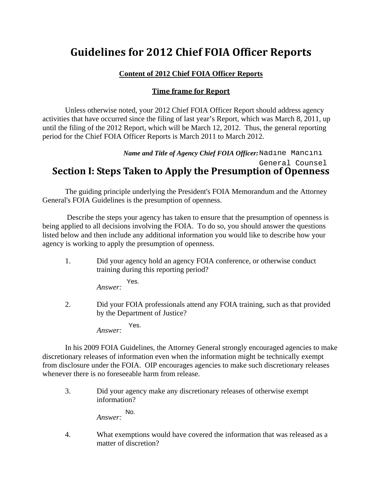# **Guidelines for 2012 Chief FOIA Officer Reports**

### **Content of 2012 Chief FOIA Officer Reports**

### **Time frame for Report**

 Unless otherwise noted, your 2012 Chief FOIA Officer Report should address agency activities that have occurred since the filing of last year's Report, which was March 8, 2011, up until the filing of the 2012 Report, which will be March 12, 2012. Thus, the general reporting period for the Chief FOIA Officer Reports is March 2011 to March 2012.

### *Name and Title of Agency Chief FOIA Officer:*  **Section I: Steps Taken to Apply the Presumption of Openness** General Counsel

 The guiding principle underlying the President's FOIA Memorandum and the Attorney General's FOIA Guidelines is the presumption of openness.

 Describe the steps your agency has taken to ensure that the presumption of openness is being applied to all decisions involving the FOIA. To do so, you should answer the questions listed below and then include any additional information you would like to describe how your agency is working to apply the presumption of openness.

1. Did your agency hold an agency FOIA conference, or otherwise conduct training during this reporting period?

> *Answer:*  Yes.

2. Did your FOIA professionals attend any FOIA training, such as that provided by the Department of Justice?

> *Answer:*  Yes.

In his 2009 FOIA Guidelines, the Attorney General strongly encouraged agencies to make discretionary releases of information even when the information might be technically exempt from disclosure under the FOIA. OIP encourages agencies to make such discretionary releases whenever there is no foreseeable harm from release. Name and Title of Agency Chief FOIA Officer: Nadiine Mancini<br>
General Counsel<br>
General Counsel<br>
Euderlying the Presumption of Openness<br>
le underlying the President's FOIA Memorandum and the Attorney<br>
is the presumption of

3. Did your agency make any discretionary releases of otherwise exempt information?

*Answer:* 

4. What exemptions would have covered the information that was released as a matter of discretion?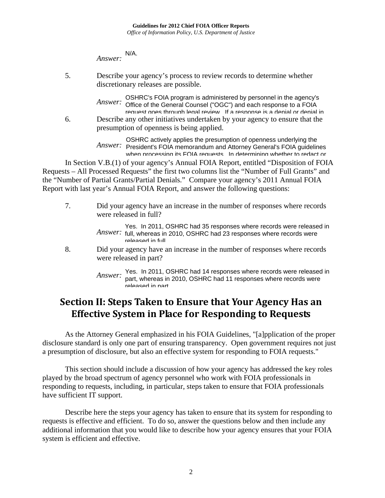*Answer:*  N/A.

5. Describe your agency's process to review records to determine whether discretionary releases are possible.

> *Answer:*  OSHRC's FOIA program is administered by personnel in the agency's Office of the General Counsel ("OGC") and each response to a FOIA request goes through legal review. If a response is a denial or denial in

6. Describe any other initiatives undertaken by your agency to ensure that the presumption of openness is being applied.

*Answer:*  President's FOIA memorandum and Attorney General's FOIA guidelines  $\frac{1}{\sqrt{2}}$ OSHRC actively applies the presumption of openness underlying the when processing its FOIA requests. In determining whether to redact or

In Section V.B.(1) of your agency's Annual FOIA Report, entitled "Disposition of FOIA Requests – All Processed Requests" the first two columns list the "Number of Full Grants" and the "Number of Partial Grants/Partial Denials." Compare your agency's 2011 Annual FOIA Report with last year's Annual FOIA Report, and answer the following questions:

7. Did your agency have an increase in the number of responses where records were released in full?

> Answer: full, whereas in 2010, OSHRC had 23 responses where records were Yes. In 2011, OSHRC had 35 responses where records were released in released in full.

8. Did your agency have an increase in the number of responses where records were released in part?

> *Answer*: Yes. In 2011, OSHRC had 14 responses where records were released in *Answer*: part whereas in 2010, OSHRC had 11 responses where records were part, whereas in 2010, OSHRC had 11 responses where records were released in part.

## **Section II: Steps Taken to Ensure that Your Agency Has an Effective System in Place for Responding to Requests**

 As the Attorney General emphasized in his FOIA Guidelines, "[a]pplication of the proper disclosure standard is only one part of ensuring transparency. Open government requires not just a presumption of disclosure, but also an effective system for responding to FOIA requests."

This section should include a discussion of how your agency has addressed the key roles played by the broad spectrum of agency personnel who work with FOIA professionals in responding to requests, including, in particular, steps taken to ensure that FOIA professionals have sufficient IT support.

Describe here the steps your agency has taken to ensure that its system for responding to requests is effective and efficient. To do so, answer the questions below and then include any additional information that you would like to describe how your agency ensures that your FOIA system is efficient and effective.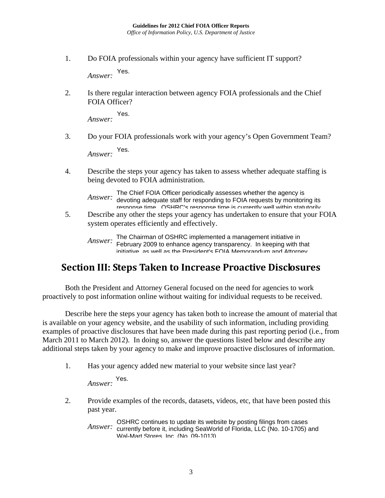1. Do FOIA professionals within your agency have sufficient IT support?

*Answer:*  Yes.

2. Is there regular interaction between agency FOIA professionals and the Chief FOIA Officer?

*Answer:*  Yes.

3. Do your FOIA professionals work with your agency's Open Government Team?

*Answer:*  Yes.

4. Describe the steps your agency has taken to assess whether adequate staffing is being devoted to FOIA administration.

*Answer:*  The Chief FOIA Officer periodically assesses whether the agency is devoting adequate staff for responding to FOIA requests by monitoring its response time. OSHRC's response time is currently well within statutorily

5. Describe any other the steps your agency has undertaken to ensure that your FOIA system operates efficiently and effectively.

*Answer:*  The Chairman of OSHRC implemented a management initiative in February 2009 to enhance agency transparency. In keeping with that initiative, as well as the President's FOIA Memorandum and Attorney

#### **Section III: Steps Taken to Increase Proactive Disclosures** requests. The FOIA Requester Service Center stays in close contact with

Both the President and Attorney General focused on the need for agencies to work proactively to post information online without waiting for individual requests to be received. relate to the agency's FOIA program and procedures.

Describe here the steps your agency has taken both to increase the amount of material that is available on your agency website, and the usability of such information, including providing examples of proactive disclosures that have been made during this past reporting period (i.e., from March 2011 to March 2012). In doing so, answer the questions listed below and describe any additional steps taken by your agency to make and improve proactive disclosures of information.

1. Has your agency added new material to your website since last year?

*Answer:*  Yes.

2. Provide examples of the records, datasets, videos, etc, that have been posted this past year.

*Answer:*  currently before it, including SeaWorld of Florida, LLC (No. 10-1705) and OSHRC continues to update its website by posting filings from cases Wal-Mart Stores, Inc. (No. 09-1013).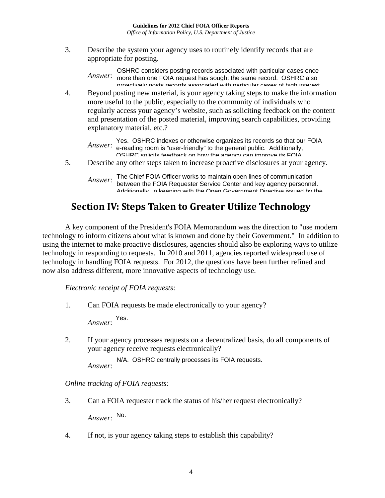3. Describe the system your agency uses to routinely identify records that are appropriate for posting.

*Answer:*  OSHRC considers posting records associated with particular cases once more than one FOIA request has sought the same record. OSHRC also proactively posts records associated with particular cases of high interest,

4. Beyond posting new material, is your agency taking steps to make the information more useful to the public, especially to the community of individuals who regularly access your agency's website, such as soliciting feedback on the content and presentation of the posted material, improving search capabilities, providing explanatory material, etc.?

*Answer:*  Yes. OSHRC indexes or otherwise organizes its records so that our FOIA e-reading room is "user-friendly" to the general public. Additionally, OSHRC solicits feedback on how the agency can improve its FOIA

5. Describe any other steps taken to increase proactive disclosures at your agency.

*Answer:*  The Chief FOIA Officer works to maintain open lines of communication between the FOIA Requester Service Center and key agency personnel. Additionally, in keeping with the Open Government Directive issued by the

#### **Section IV: Steps Taken to Greater Utilize Technology** ww.data.gov.

A key component of the President's FOIA Memorandum was the direction to "use modern technology to inform citizens about what is known and done by their Government." In addition to using the internet to make proactive disclosures, agencies should also be exploring ways to utilize technology in responding to requests. In 2010 and 2011, agencies reported widespread use of technology in handling FOIA requests. For 2012, the questions have been further refined and now also address different, more innovative aspects of technology use.

*Electronic receipt of FOIA requests*:

1. Can FOIA requests be made electronically to your agency?

*Answer:*  Yes.

2. If your agency processes requests on a decentralized basis, do all components of your agency receive requests electronically?

*Answer:*  N/A. OSHRC centrally processes its FOIA requests.

*Online tracking of FOIA requests:*

3. Can a FOIA requester track the status of his/her request electronically?

*Answer:*  No.

4. If not, is your agency taking steps to establish this capability?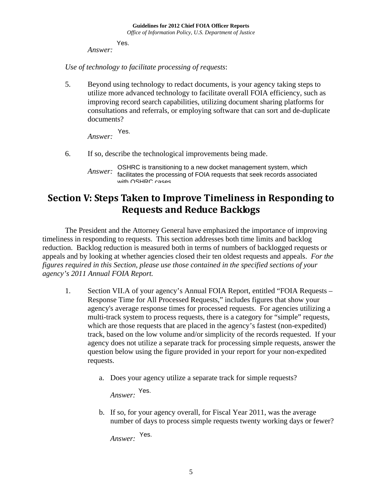*Answer:*  Yes.

*Use of technology to facilitate processing of requests*:

5. Beyond using technology to redact documents, is your agency taking steps to utilize more advanced technology to facilitate overall FOIA efficiency, such as improving record search capabilities, utilizing document sharing platforms for consultations and referrals, or employing software that can sort and de-duplicate documents?

*Answer:*  Yes.

6. If so, describe the technological improvements being made.

## **Section V: Steps Taken to Improve Timeliness in Responding to Requests and Reduce Backlogs**

The President and the Attorney General have emphasized the importance of improving timeliness in responding to requests. This section addresses both time limits and backlog reduction. Backlog reduction is measured both in terms of numbers of backlogged requests or appeals and by looking at whether agencies closed their ten oldest requests and appeals. *For the figures required in this Section, please use those contained in the specified sections of your agency's 2011 Annual FOIA Report.*

- 1. Section VII.A of your agency's Annual FOIA Report, entitled "FOIA Requests Response Time for All Processed Requests," includes figures that show your agency's average response times for processed requests. For agencies utilizing a multi-track system to process requests, there is a category for "simple" requests, which are those requests that are placed in the agency's fastest (non-expedited) track, based on the low volume and/or simplicity of the records requested. If your agency does not utilize a separate track for processing simple requests, answer the question below using the figure provided in your report for your non-expedited requests.
	- a. Does your agency utilize a separate track for simple requests?

*Answer:*  Yes.

b. If so, for your agency overall, for Fiscal Year 2011, was the average number of days to process simple requests twenty working days or fewer?

*Answer:*  Yes.

*Answer:*  OSHRC is transitioning to a new docket management system, which facilitates the processing of FOIA requests that seek records associated with OSHRC cases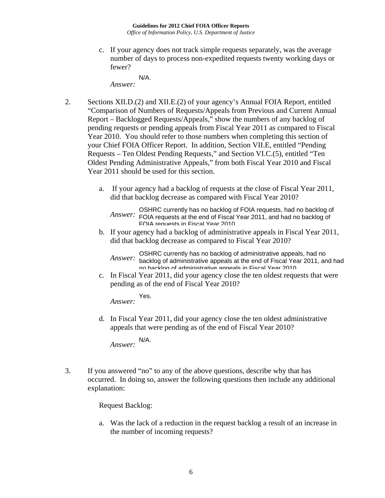c. If your agency does not track simple requests separately, was the average number of days to process non-expedited requests twenty working days or fewer?

*Answer:*  N/A.

- 2. Sections XII.D.(2) and XII.E.(2) of your agency's Annual FOIA Report, entitled "Comparison of Numbers of Requests/Appeals from Previous and Current Annual Report – Backlogged Requests/Appeals," show the numbers of any backlog of pending requests or pending appeals from Fiscal Year 2011 as compared to Fiscal Year 2010. You should refer to those numbers when completing this section of your Chief FOIA Officer Report. In addition, Section VII.E, entitled "Pending Requests – Ten Oldest Pending Requests," and Section VI.C.(5), entitled "Ten Oldest Pending Administrative Appeals," from both Fiscal Year 2010 and Fiscal Year 2011 should be used for this section.
	- a. If your agency had a backlog of requests at the close of Fiscal Year 2011, did that backlog decrease as compared with Fiscal Year 2010?

**OSHRC currently has no backlog of FOIA requests, had no backlog of Answer:** FOIA requests at the end of Fiscal Year 2011, and had no backlog of FOIA requests at the end of Fiscal Year 2011, and had no backlog of FOIA requests in Fiscal Year 2010.

b. If your agency had a backlog of administrative appeals in Fiscal Year 2011, did that backlog decrease as compared to Fiscal Year 2010?

*Answer:*  OSHRC currently has no backlog of administrative appeals, had no backlog of administrative appeals at the end of Fiscal Year 2011, and had no backlog of administrative appeals in Fiscal Year 2010.

c. In Fiscal Year 2011, did your agency close the ten oldest requests that were pending as of the end of Fiscal Year 2010?

*Answer:*  Yes.

d. In Fiscal Year 2011, did your agency close the ten oldest administrative appeals that were pending as of the end of Fiscal Year 2010?

*Answer:*  N/A.

3. If you answered "no" to any of the above questions, describe why that has occurred. In doing so, answer the following questions then include any additional explanation:

Request Backlog:

a. Was the lack of a reduction in the request backlog a result of an increase in the number of incoming requests?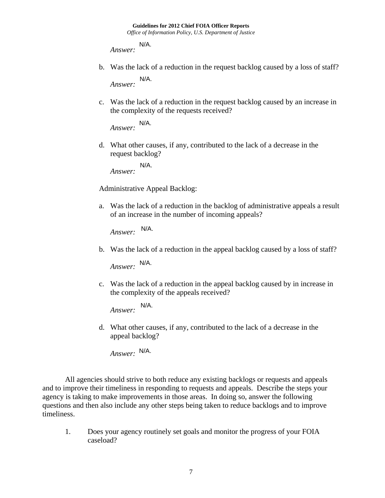*Answer:*  N/A.

- b. Was the lack of a reduction in the request backlog caused by a loss of staff? *Answer:*  N/A.
- c. Was the lack of a reduction in the request backlog caused by an increase in the complexity of the requests received?

*Answer:*  N/A.

d. What other causes, if any, contributed to the lack of a decrease in the request backlog?

*Answer:*  N/A.

Administrative Appeal Backlog:

a. Was the lack of a reduction in the backlog of administrative appeals a result of an increase in the number of incoming appeals?

*Answer:*  N/A.

b. Was the lack of a reduction in the appeal backlog caused by a loss of staff?

*Answer:*  N/A.

c. Was the lack of a reduction in the appeal backlog caused by in increase in the complexity of the appeals received?

*Answer:*  N/A.

d. What other causes, if any, contributed to the lack of a decrease in the appeal backlog?

*Answer:*  N/A.

All agencies should strive to both reduce any existing backlogs or requests and appeals and to improve their timeliness in responding to requests and appeals. Describe the steps your agency is taking to make improvements in those areas. In doing so, answer the following questions and then also include any other steps being taken to reduce backlogs and to improve timeliness.

1. Does your agency routinely set goals and monitor the progress of your FOIA caseload?